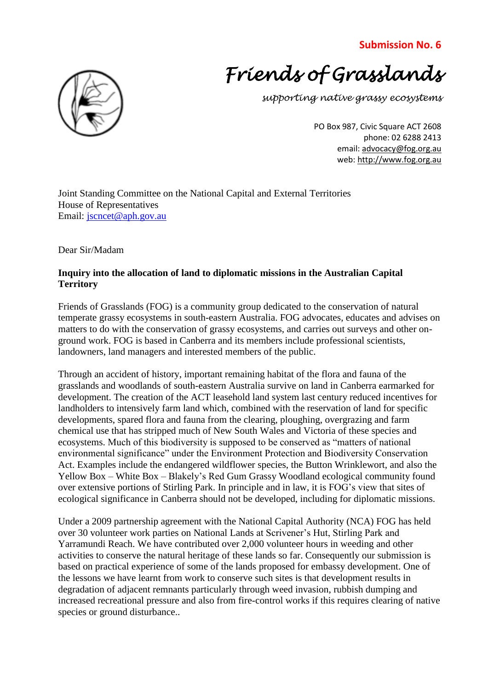## **Submission No. 6**



*supporting native grassy ecosystems*

PO Box 987, Civic Square ACT 2608 phone: 02 6288 2413 email: advocacy@fog.org.au web: http://www.fog.org.au

[Joint Standing Committee on the National Capital and External Territories](http://www.aph.gov.au/Parliamentary_Business/Committees/?url=ncet/index.htm) House of Representatives Email: [jscncet@aph.gov.au](mailto:jscncet@aph.gov.au)

Dear Sir/Madam

## **Inquiry into the allocation of land to diplomatic missions in the Australian Capital Territory**

Friends of Grasslands (FOG) is a community group dedicated to the conservation of natural temperate grassy ecosystems in south-eastern Australia. FOG advocates, educates and advises on matters to do with the conservation of grassy ecosystems, and carries out surveys and other onground work. FOG is based in Canberra and its members include professional scientists, landowners, land managers and interested members of the public.

Through an accident of history, important remaining habitat of the flora and fauna of the grasslands and woodlands of south-eastern Australia survive on land in Canberra earmarked for development. The creation of the ACT leasehold land system last century reduced incentives for landholders to intensively farm land which, combined with the reservation of land for specific developments, spared flora and fauna from the clearing, ploughing, overgrazing and farm chemical use that has stripped much of New South Wales and Victoria of these species and ecosystems. Much of this biodiversity is supposed to be conserved as "matters of national environmental significance" under the Environment Protection and Biodiversity Conservation Act. Examples include the endangered wildflower species, the Button Wrinklewort, and also the Yellow Box – White Box – Blakely's Red Gum Grassy Woodland ecological community found over extensive portions of Stirling Park. In principle and in law, it is FOG's view that sites of ecological significance in Canberra should not be developed, including for diplomatic missions.

Under a 2009 partnership agreement with the National Capital Authority (NCA) FOG has held over 30 volunteer work parties on National Lands at Scrivener's Hut, Stirling Park and Yarramundi Reach. We have contributed over 2,000 volunteer hours in weeding and other activities to conserve the natural heritage of these lands so far. Consequently our submission is based on practical experience of some of the lands proposed for embassy development. One of the lessons we have learnt from work to conserve such sites is that development results in degradation of adjacent remnants particularly through weed invasion, rubbish dumping and increased recreational pressure and also from fire-control works if this requires clearing of native species or ground disturbance..